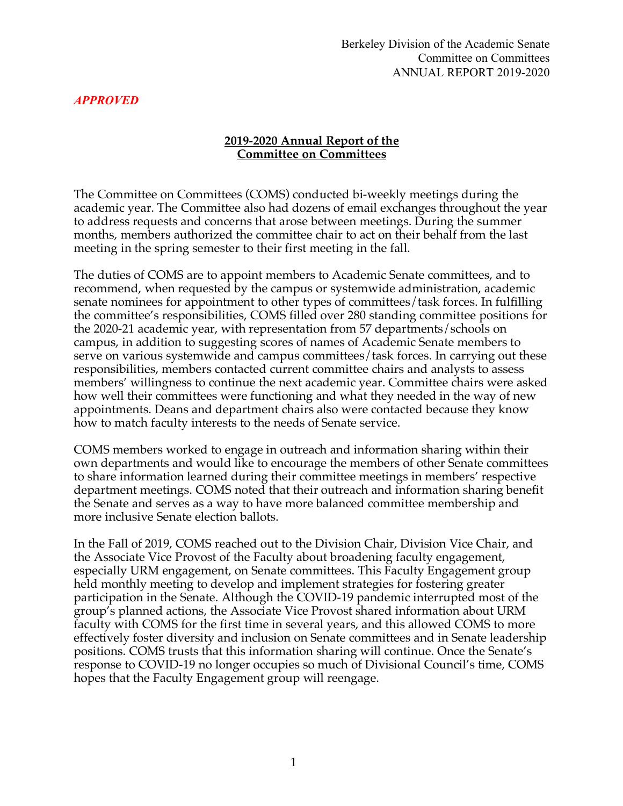#### **2019-2020 Annual Report of the Committee on Committees**

The Committee on Committees (COMS) conducted bi-weekly meetings during the academic year. The Committee also had dozens of email exchanges throughout the year to address requests and concerns that arose between meetings. During the summer months, members authorized the committee chair to act on their behalf from the last meeting in the spring semester to their first meeting in the fall.

The duties of COMS are to appoint members to Academic Senate committees, and to recommend, when requested by the campus or systemwide administration, academic senate nominees for appointment to other types of committees/task forces. In fulfilling the committee's responsibilities, COMS filled over 280 standing committee positions for the 2020-21 academic year, with representation from 57 departments/schools on campus, in addition to suggesting scores of names of Academic Senate members to serve on various systemwide and campus committees/task forces. In carrying out these responsibilities, members contacted current committee chairs and analysts to assess members' willingness to continue the next academic year. Committee chairs were asked how well their committees were functioning and what they needed in the way of new appointments. Deans and department chairs also were contacted because they know how to match faculty interests to the needs of Senate service.

COMS members worked to engage in outreach and information sharing within their own departments and would like to encourage the members of other Senate committees to share information learned during their committee meetings in members' respective department meetings. COMS noted that their outreach and information sharing benefit the Senate and serves as a way to have more balanced committee membership and more inclusive Senate election ballots.

In the Fall of 2019, COMS reached out to the Division Chair, Division Vice Chair, and the Associate Vice Provost of the Faculty about broadening faculty engagement, especially URM engagement, on Senate committees. This Faculty Engagement group held monthly meeting to develop and implement strategies for fostering greater participation in the Senate. Although the COVID-19 pandemic interrupted most of the group's planned actions, the Associate Vice Provost shared information about URM faculty with COMS for the first time in several years, and this allowed COMS to more effectively foster diversity and inclusion on Senate committees and in Senate leadership positions. COMS trusts that this information sharing will continue. Once the Senate's response to COVID-19 no longer occupies so much of Divisional Council's time, COMS hopes that the Faculty Engagement group will reengage.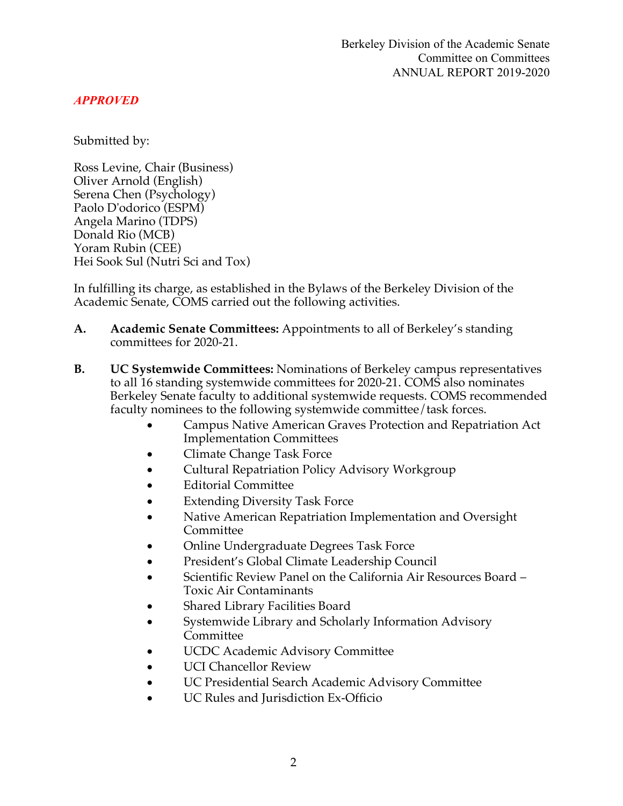Submitted by:

Ross Levine, Chair (Business) Oliver Arnold (English) Serena Chen (Psychology) Paolo D'odorico (ESPM) Angela Marino (TDPS) Donald Rio (MCB) Yoram Rubin (CEE) Hei Sook Sul (Nutri Sci and Tox)

In fulfilling its charge, as established in the Bylaws of the Berkeley Division of the Academic Senate, COMS carried out the following activities.

- **A. Academic Senate Committees:** Appointments to all of Berkeley's standing committees for 2020-21.
- **B. UC Systemwide Committees:** Nominations of Berkeley campus representatives to all 16 standing systemwide committees for 2020-21. COMS also nominates Berkeley Senate faculty to additional systemwide requests. COMS recommended faculty nominees to the following systemwide committee/task forces.
	- Campus Native American Graves Protection and Repatriation Act Implementation Committees
	- Climate Change Task Force
	- Cultural Repatriation Policy Advisory Workgroup
	- Editorial Committee
	- Extending Diversity Task Force
	- Native American Repatriation Implementation and Oversight Committee
	- Online Undergraduate Degrees Task Force
	- President's Global Climate Leadership Council
	- Scientific Review Panel on the California Air Resources Board Toxic Air Contaminants
	- Shared Library Facilities Board
	- Systemwide Library and Scholarly Information Advisory Committee
	- UCDC Academic Advisory Committee
	- UCI Chancellor Review
	- UC Presidential Search Academic Advisory Committee
	- UC Rules and Jurisdiction Ex-Officio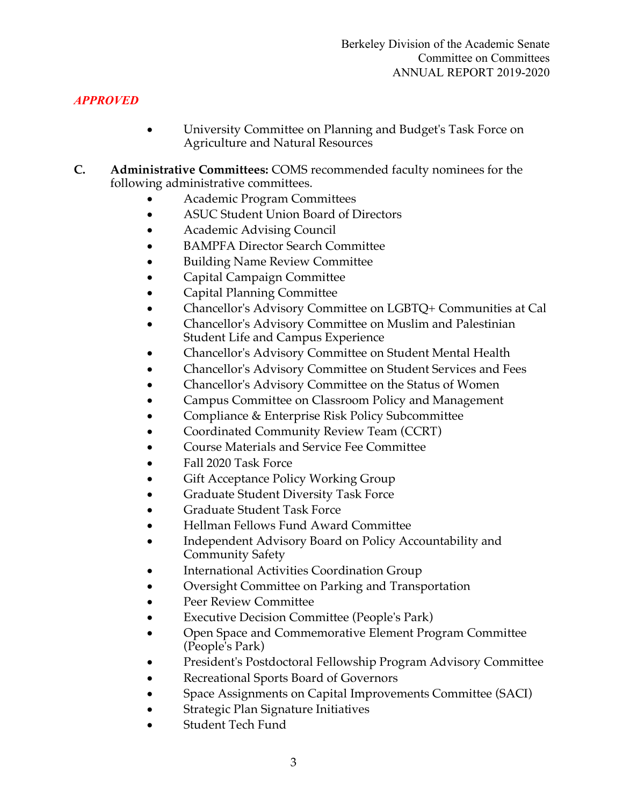- University Committee on Planning and Budget's Task Force on Agriculture and Natural Resources
- **C. Administrative Committees:** COMS recommended faculty nominees for the following administrative committees.
	- Academic Program Committees
	- ASUC Student Union Board of Directors
	- Academic Advising Council
	- BAMPFA Director Search Committee
	- Building Name Review Committee
	- Capital Campaign Committee
	- Capital Planning Committee
	- Chancellor's Advisory Committee on LGBTQ+ Communities at Cal
	- Chancellor's Advisory Committee on Muslim and Palestinian Student Life and Campus Experience
	- Chancellor's Advisory Committee on Student Mental Health
	- Chancellor's Advisory Committee on Student Services and Fees
	- Chancellor's Advisory Committee on the Status of Women
	- Campus Committee on Classroom Policy and Management
	- Compliance & Enterprise Risk Policy Subcommittee
	- Coordinated Community Review Team (CCRT)
	- Course Materials and Service Fee Committee
	- Fall 2020 Task Force
	- Gift Acceptance Policy Working Group
	- Graduate Student Diversity Task Force
	- Graduate Student Task Force
	- Hellman Fellows Fund Award Committee
	- Independent Advisory Board on Policy Accountability and Community Safety
	- International Activities Coordination Group
	- Oversight Committee on Parking and Transportation
	- Peer Review Committee
	- Executive Decision Committee (People's Park)
	- Open Space and Commemorative Element Program Committee (People's Park)
	- President's Postdoctoral Fellowship Program Advisory Committee
	- Recreational Sports Board of Governors
	- Space Assignments on Capital Improvements Committee (SACI)
	- Strategic Plan Signature Initiatives
	- Student Tech Fund